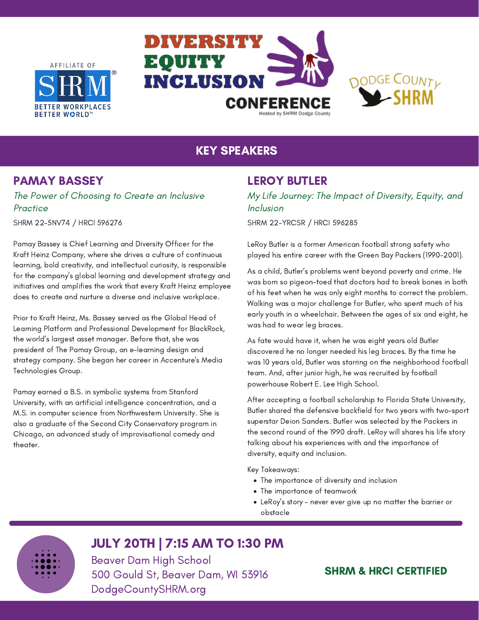AFFILIATE OF







# KEY SPEAKERS

# PAMAY BASSEY

The Power of Choosing to Create an Inclusive Practice

SHRM 22-5NV74 / HRCI 596276

Pamay Bassey is Chief Learning and Diversity Officer for the Kraft Heinz Company, where she drives a culture of continuous learning, bold creativity, and intellectual curiosity, is responsible for the company's global learning and development strategy and initiatives and amplifies the work that every Kraft Heinz employee does to create and nurture a diverse and inclusive workplace.

Prior to Kraft Heinz, Ms. Bassey served as the Global Head of Learning Platform and Professional Development for BlackRock, the world's largest asset manager. Before that, she was president of The Pamay Group, an e-learning design and strategy company. She began her career in Accenture's Media Technologies Group.

Pamay earned a B.S. in symbolic systems from Stanford University, with an artificial intelligence concentration, and a M.S. in computer science from Northwestern University. She is also a graduate of the Second City Conservatory program in Chicago, an advanced study of improvisational comedy and theater.

### LEROY BUTLER

My Life Journey: The Impact of Diversity, Equity, and Inclusion

SHRM 22-YRCSR / HRCI 596285

LeRoy Butler is a former American football strong safety who played his entire career with the Green Bay Packers (1990-2001).

As a child, Butler's problems went beyond poverty and crime. He was born so pigeon-toed that doctors had to break bones in both of his feet when he was only eight months to correct the problem. Walking was a major challenge for Butler, who spent much of his early youth in a wheelchair. Between the ages of six and eight, he was had to wear leg braces.

As fate would have it, when he was eight years old Butler discovered he no longer needed his leg braces. By the time he was 10 years old, Butler was starring on the neighborhood football team. And, after junior high, he was recruited by football powerhouse Robert E. Lee High School.

After accepting a football scholarship to Florida State University, Butler shared the defensive backfield for two years with two-sport superstar Deion Sanders. Butler was selected by the Packers in the second round of the 1990 draft. LeRoy will shares his life story talking about his experiences with and the importance of diversity, equity and inclusion.

Key Takeaways:

- The importance of diversity and inclusion
- The importance of teamwork
- LeRoy's story never ever give up no matter the barrier or obstacle

# JULY 20TH | 7:15 AM TO 1:30 PM

Beaver Dam High School 500 Gould St, Beaver Dam, WI 53916 DodgeCountySHRM.org

## SHRM & HRCI CERTIFIED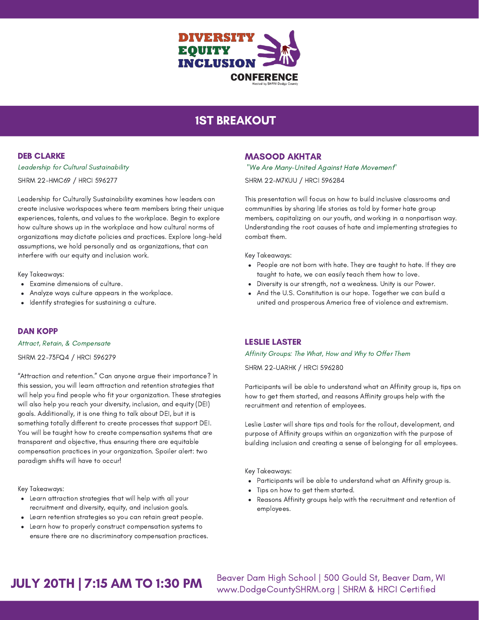

# 1ST BREAKOUT

### DEB CLARKE

Leadership for Cultural Sustainability SHRM 22-HMC69 / HRCI 596277

Leadership for Culturally Sustainability examines how leaders can create inclusive workspaces where team members bring their unique experiences, talents, and values to the workplace. Begin to explore how culture shows up in the workplace and how cultural norms of organizations may dictate policies and practices. Explore long-held assumptions, we hold personally and as organizations, that can interfere with our equity and inclusion work.

Key Takeaways:

- Examine dimensions of culture.
- Analyze ways culture appears in the workplace.
- Identify strategies for sustaining a culture.  $\bullet$

#### DAN KOPP

Attract, Retain, & Compensate

SHRM 22-73FQ4 / HRCI 596279

"Attraction and retention." Can anyone argue their importance? In this session, you will learn attraction and retention strategies that will help you find people who fit your organization. These strategies will also help you reach your diversity, inclusion, and equity (DEI) goals. Additionally, it is one thing to talk about DEI, but it is something totally different to create processes that support DEI. You will be taught how to create compensation systems that are transparent and objective, thus ensuring there are equitable compensation practices in your organization. Spoiler alert: two paradigm shifts will have to occur!

Key Takeaways:

- Learn attraction strategies that will help with all your recruitment and diversity, equity, and inclusion goals.
- Learn retention strategies so you can retain great people.
- Learn how to properly construct compensation systems to ensure there are no discriminatory compensation practices.

### MASOOD AKHTAR

"We Are Many-United Against Hate Movement" SHRM 22-M7KUU / HRCI 596284

This presentation will focus on how to build inclusive classrooms and communities by sharing life stories as told by former hate group members, capitalizing on our youth, and working in a nonpartisan way. Understanding the root causes of hate and implementing strategies to combat them.

Key Takeaways:

- People are not born with hate. They are taught to hate. If they are taught to hate, we can easily teach them how to love.
- Diversity is our strength, not a weakness. Unity is our Power.
- And the U.S. Constitution is our hope. Together we can build a united and prosperous America free of violence and extremism.

### LESLIE LASTER

Affinity Groups: The What, How and Why to Offer Them

SHRM 22-UARHK / HRCI 596280

Participants will be able to understand what an Affinity group is, tips on how to get them started, and reasons Affinity groups help with the recruitment and retention of employees.

Leslie Laster will share tips and tools for the rollout, development, and purpose of Affinity groups within an organization with the purpose of building inclusion and creating a sense of belonging for all employees.

Key Takeaways:

- Participants will be able to understand what an Affinity group is.
- Tips on how to get them started.
- Reasons Affinity groups help with the recruitment and retention of employees.

# JULY 20TH | 7:15 AM TO 1:30 PM

Beaver Dam High School | 500 Gould St, Beaver Dam, WI www.DodgeCountySHRM.org | SHRM & HRCI Certified